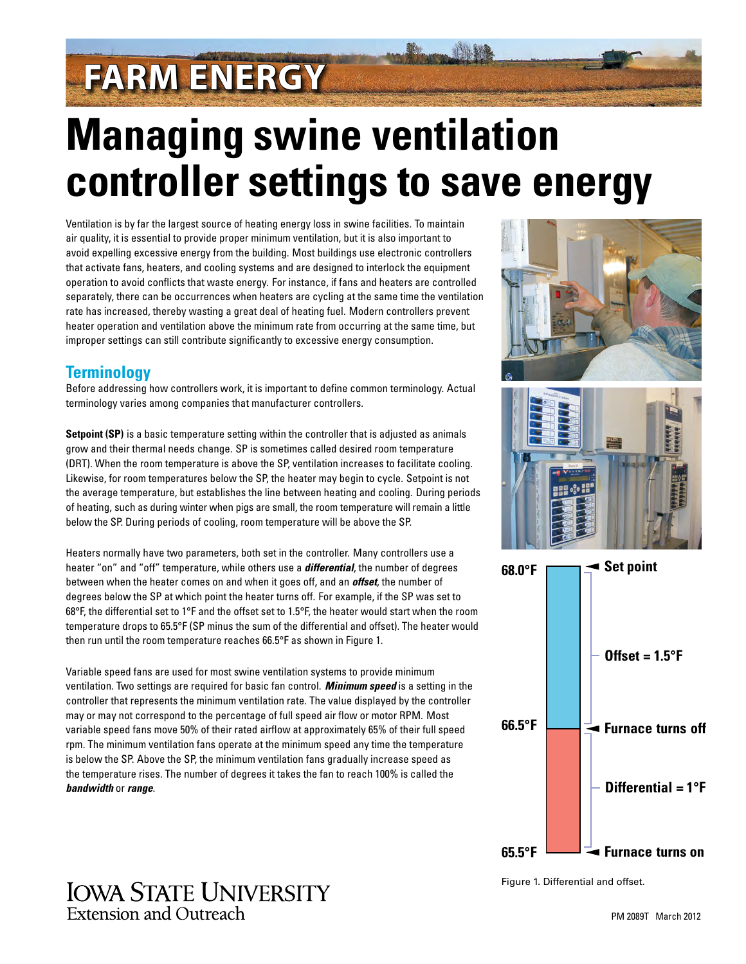## **FARM ENERGY**

# **Managing swine ventilation controller settings to save energy**

Ventilation is by far the largest source of heating energy loss in swine facilities. To maintain air quality, it is essential to provide proper minimum ventilation, but it is also important to avoid expelling excessive energy from the building. Most buildings use electronic controllers that activate fans, heaters, and cooling systems and are designed to interlock the equipment operation to avoid conflicts that waste energy. For instance, if fans and heaters are controlled separately, there can be occurrences when heaters are cycling at the same time the ventilation rate has increased, thereby wasting a great deal of heating fuel. Modern controllers prevent heater operation and ventilation above the minimum rate from occurring at the same time, but improper settings can still contribute significantly to excessive energy consumption.

### **Terminology**

Before addressing how controllers work, it is important to define common terminology. Actual terminology varies among companies that manufacturer controllers.

**Setpoint (SP)** is a basic temperature setting within the controller that is adjusted as animals grow and their thermal needs change. SP is sometimes called desired room temperature (DRT). When the room temperature is above the SP, ventilation increases to facilitate cooling. Likewise, for room temperatures below the SP, the heater may begin to cycle. Setpoint is not the average temperature, but establishes the line between heating and cooling. During periods of heating, such as during winter when pigs are small, the room temperature will remain a little below the SP. During periods of cooling, room temperature will be above the SP.

Heaters normally have two parameters, both set in the controller. Many controllers use a heater "on" and "off" temperature, while others use a *differential*, the number of degrees between when the heater comes on and when it goes off, and an *offset*, the number of degrees below the SP at which point the heater turns off. For example, if the SP was set to 68°F, the differential set to 1°F and the offset set to 1.5°F, the heater would start when the room temperature drops to 65.5°F (SP minus the sum of the differential and offset). The heater would then run until the room temperature reaches 66.5°F as shown in Figure 1.

Variable speed fans are used for most swine ventilation systems to provide minimum ventilation. Two settings are required for basic fan control. *Minimum speed* is a setting in the controller that represents the minimum ventilation rate. The value displayed by the controller may or may not correspond to the percentage of full speed air flow or motor RPM. Most variable speed fans move 50% of their rated airflow at approximately 65% of their full speed rpm. The minimum ventilation fans operate at the minimum speed any time the temperature is below the SP. Above the SP, the minimum ventilation fans gradually increase speed as the temperature rises. The number of degrees it takes the fan to reach 100% is called the *bandwidth* or *range*.





Figure 1. Differential and offset.

## **IOWA STATE UNIVERSITY** Extension and Outreach